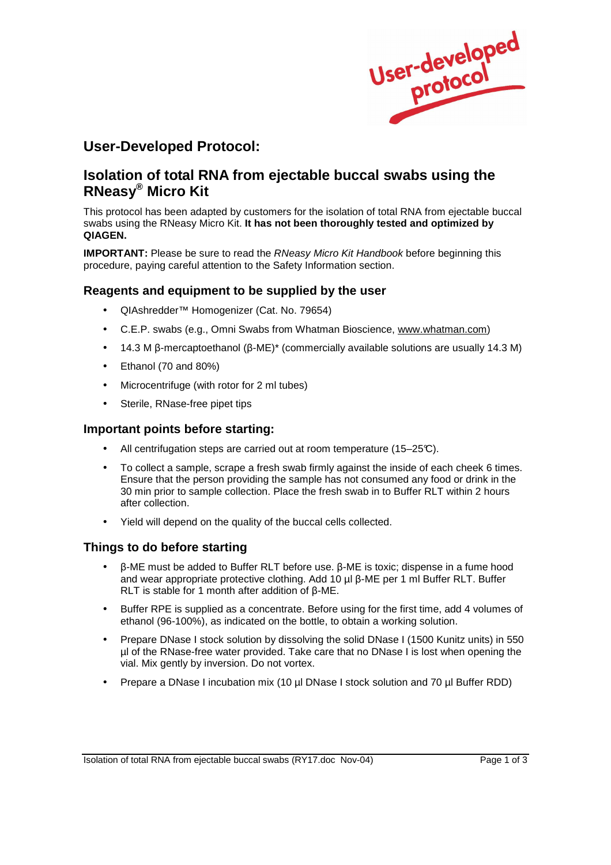

# **User-Developed Protocol:**

# **Isolation of total RNA from ejectable buccal swabs using the RNeasy® Micro Kit**

This protocol has been adapted by customers for the isolation of total RNA from ejectable buccal swabs using the RNeasy Micro Kit. **It has not been thoroughly tested and optimized by QIAGEN.**

**IMPORTANT:** Please be sure to read the RNeasy Micro Kit Handbook before beginning this procedure, paying careful attention to the Safety Information section.

### **Reagents and equipment to be supplied by the user**

- QIAshredder™ Homogenizer (Cat. No. 79654)
- C.E.P. swabs (e.g., Omni Swabs from Whatman Bioscience, www.whatman.com)
- 14.3 M  $\beta$ -mercaptoethanol ( $\beta$ -ME)\* (commercially available solutions are usually 14.3 M)
- Ethanol (70 and 80%)
- Microcentrifuge (with rotor for 2 ml tubes)
- Sterile, RNase-free pipet tips

#### **Important points before starting:**

- All centrifugation steps are carried out at room temperature (15–25°C).
- To collect a sample, scrape a fresh swab firmly against the inside of each cheek 6 times. Ensure that the person providing the sample has not consumed any food or drink in the 30 min prior to sample collection. Place the fresh swab in to Buffer RLT within 2 hours after collection.
- Yield will depend on the quality of the buccal cells collected.

### **Things to do before starting**

- $\beta$ -ME must be added to Buffer RLT before use.  $\beta$ -ME is toxic; dispense in a fume hood and wear appropriate protective clothing. Add 10  $\mu$ l  $\beta$ -ME per 1 ml Buffer RLT. Buffer RLT is stable for 1 month after addition of  $\beta$ -ME.
- Buffer RPE is supplied as a concentrate. Before using for the first time, add 4 volumes of ethanol (96-100%), as indicated on the bottle, to obtain a working solution.
- Prepare DNase I stock solution by dissolving the solid DNase I (1500 Kunitz units) in 550 µl of the RNase-free water provided. Take care that no DNase I is lost when opening the vial. Mix gently by inversion. Do not vortex.
- Prepare a DNase I incubation mix (10 ul DNase I stock solution and 70 ul Buffer RDD)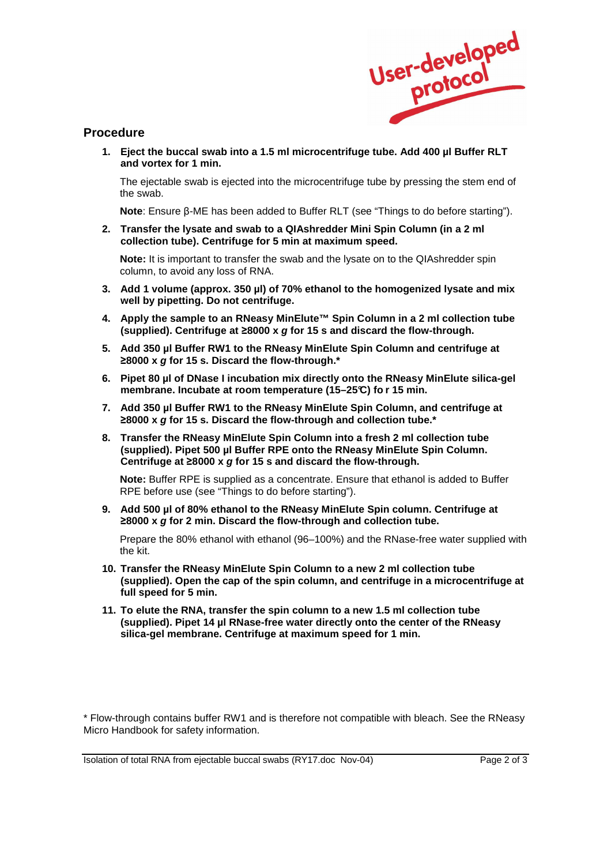

## **Procedure**

**1. Eject the buccal swab into a 1.5 ml microcentrifuge tube. Add 400 µl Buffer RLT and vortex for 1 min.** 

The ejectable swab is ejected into the microcentrifuge tube by pressing the stem end of the swab.

**Note:** Ensure  $\beta$ -ME has been added to Buffer RLT (see "Things to do before starting").

**2. Transfer the lysate and swab to a QIAshredder Mini Spin Column (in a 2 ml collection tube). Centrifuge for 5 min at maximum speed.** 

**Note:** It is important to transfer the swab and the lysate on to the QIAshredder spin column, to avoid any loss of RNA.

- **3. Add 1 volume (approx. 350 µl) of 70% ethanol to the homogenized lysate and mix well by pipetting. Do not centrifuge.**
- **4. Apply the sample to an RNeasy MinElute™ Spin Column in a 2 ml collection tube (supplied). Centrifuge at 8000 x g for 15 s and discard the flow-through.**
- **5. Add 350 µl Buffer RW1 to the RNeasy MinElute Spin Column and centrifuge at 8000 x g for 15 s. Discard the flow-through.\***
- **6. Pipet 80 µl of DNase I incubation mix directly onto the RNeasy MinElute silica-gel membrane. Incubate at room temperature (15–25°C) fo r 15 min.**
- **7. Add 350 µl Buffer RW1 to the RNeasy MinElute Spin Column, and centrifuge at 8000 x g for 15 s. Discard the flow-through and collection tube.\***
- **8. Transfer the RNeasy MinElute Spin Column into a fresh 2 ml collection tube (supplied). Pipet 500 µl Buffer RPE onto the RNeasy MinElute Spin Column. Centrifuge at 8000 x g for 15 s and discard the flow-through.**

**Note:** Buffer RPE is supplied as a concentrate. Ensure that ethanol is added to Buffer RPE before use (see "Things to do before starting").

**9. Add 500 µl of 80% ethanol to the RNeasy MinElute Spin column. Centrifuge at 8000 x g for 2 min. Discard the flow-through and collection tube.** 

Prepare the 80% ethanol with ethanol (96–100%) and the RNase-free water supplied with the kit.

- **10. Transfer the RNeasy MinElute Spin Column to a new 2 ml collection tube (supplied). Open the cap of the spin column, and centrifuge in a microcentrifuge at full speed for 5 min.**
- **11. To elute the RNA, transfer the spin column to a new 1.5 ml collection tube (supplied). Pipet 14 µl RNase-free water directly onto the center of the RNeasy silica-gel membrane. Centrifuge at maximum speed for 1 min.**

\* Flow-through contains buffer RW1 and is therefore not compatible with bleach. See the RNeasy Micro Handbook for safety information.

Isolation of total RNA from ejectable buccal swabs (RY17.doc Nov-04) Page 2 of 3